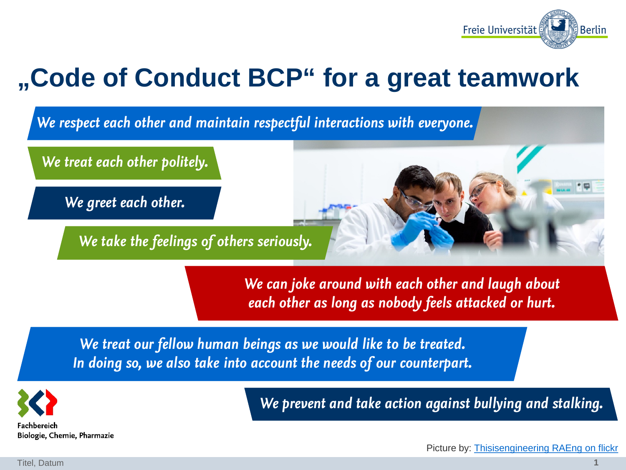

*We respect each other and maintain respectful interactions with everyone.*

*We treat each other politely.*

*We greet each other.*

*We take the feelings of others seriously.*

*We can joke around with each other and laugh about each other as long as nobody feels attacked or hurt.*

*We treat our fellow human beings as we would like to be treated. In doing so, we also take into account the needs of our counterpart.*



*We prevent and take action against bullying and stalking.*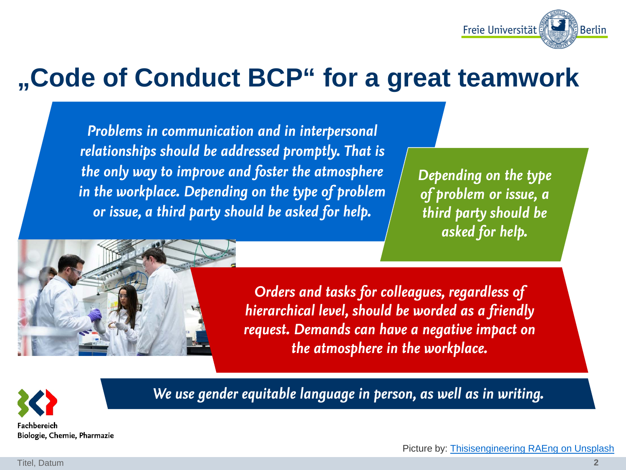

*Problems in communication and in interpersonal relationships should be addressed promptly. That is the only way to improve and foster the atmosphere in the workplace. Depending on the type of problem or issue, a third party should be asked for help.*

*Depending on the type of problem or issue, a third party should be asked for help.*



*Orders and tasks for colleagues, regardless of hierarchical level, should be worded as a friendly request. Demands can have a negative impact on the atmosphere in the workplace.*



*We use gender equitable language in person, as well as in writing.*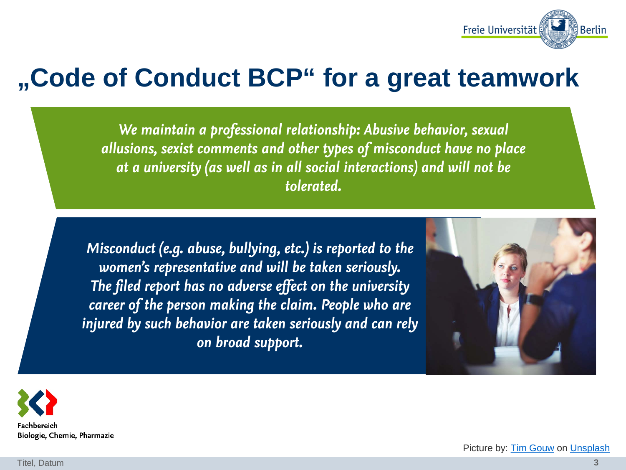

*We maintain a professional relationship: Abusive behavior, sexual allusions, sexist comments and other types of misconduct have no place at a university (as well as in all social interactions) and will not be tolerated.*

*Misconduct (e.g. abuse, bullying, etc.) is reported to the women's representative and will be taken seriously. The filed report has no adverse effect on the university career of the person making the claim. People who are injured by such behavior are taken seriously and can rely on broad support.*





Picture by: [Tim Gouw](https://unsplash.com/@punttim?utm_source=unsplash&utm_medium=referral&utm_content=creditCopyText) on [Unsplash](https://unsplash.com/s/photos/woman-talk-office?utm_source=unsplash&utm_medium=referral&utm_content=creditCopyText)